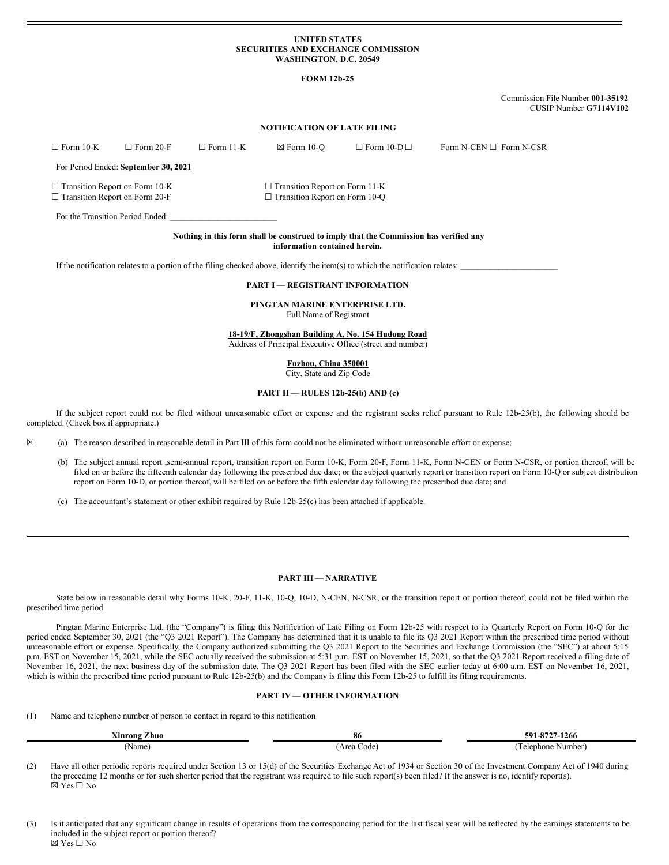### **UNITED STATES SECURITIES AND EXCHANGE COMMISSION WASHINGTON, D.C. 20549**

## **FORM 12b-25**

Commission File Number **001-35192** CUSIP Number **G7114V102**

# **NOTIFICATION OF LATE FILING**

| $\Box$ Form 10-K                                                               | $\Box$ Form 20-F                     | $\Box$ Form 11-K | $\boxtimes$ Form 10-O                                                          | $\Box$ Form 10-D $\Box$ | Form N-CEN $\square$ Form N-CSR |
|--------------------------------------------------------------------------------|--------------------------------------|------------------|--------------------------------------------------------------------------------|-------------------------|---------------------------------|
|                                                                                | For Period Ended: September 30, 2021 |                  |                                                                                |                         |                                 |
| $\Box$ Transition Report on Form 10-K<br>$\Box$ Transition Report on Form 20-F |                                      |                  | $\Box$ Transition Report on Form 11-K<br>$\Box$ Transition Report on Form 10-Q |                         |                                 |
| For the Transition Period Ended:                                               |                                      |                  |                                                                                |                         |                                 |

#### **Nothing in this form shall be construed to imply that the Commission has verified any information contained herein.**

If the notification relates to a portion of the filing checked above, identify the item(s) to which the notification relates:

#### **PART I** — **REGISTRANT INFORMATION**

#### **PINGTAN MARINE ENTERPRISE LTD.** Full Name of Registrant

**18-19/F, Zhongshan Building A, No. 154 Hudong Road**

Address of Principal Executive Office (street and number)

**Fuzhou, China 350001** City, State and Zip Code

#### **PART II** — **RULES 12b-25(b) AND (c)**

If the subject report could not be filed without unreasonable effort or expense and the registrant seeks relief pursuant to Rule 12b-25(b), the following should be completed. (Check box if appropriate.)

☒ (a) The reason described in reasonable detail in Part III of this form could not be eliminated without unreasonable effort or expense;

- (b) The subject annual report ,semi-annual report, transition report on Form 10-K, Form 20-F, Form 11-K, Form N-CEN or Form N-CSR, or portion thereof, will be filed on or before the fifteenth calendar day following the prescribed due date; or the subject quarterly report or transition report on Form 10-Q or subject distribution report on Form 10-D, or portion thereof, will be filed on or before the fifth calendar day following the prescribed due date; and
- (c) The accountant's statement or other exhibit required by Rule 12b-25(c) has been attached if applicable.

### **PART III** — **NARRATIVE**

State below in reasonable detail why Forms 10-K, 20-F, 11-K, 10-Q, 10-D, N-CEN, N-CSR, or the transition report or portion thereof, could not be filed within the prescribed time period.

Pingtan Marine Enterprise Ltd. (the "Company") is filing this Notification of Late Filing on Form 12b-25 with respect to its Quarterly Report on Form 10-Q for the period ended September 30, 2021 (the "Q3 2021 Report"). The Company has determined that it is unable to file its Q3 2021 Report within the prescribed time period without unreasonable effort or expense. Specifically, the Company authorized submitting the Q3 2021 Report to the Securities and Exchange Commission (the "SEC") at about 5:15 p.m. EST on November 15, 2021, while the SEC actually received the submission at 5:31 p.m. EST on November 15, 2021, so that the Q3 2021 Report received a filing date of November 16, 2021, the next business day of the submission date. The Q3 2021 Report has been filed with the SEC earlier today at 6:00 a.m. EST on November 16, 2021, which is within the prescribed time period pursuant to Rule 12b-25(b) and the Company is filing this Form 12b-25 to fulfill its filing requirements.

# **PART IV**— **OTHER INFORMATION**

(1) Name and telephone number of person to contact in regard to this notification

| ---<br>Xinrong Zhuo | 86              | $-8727-1266$<br>-591.                             |  |  |
|---------------------|-----------------|---------------------------------------------------|--|--|
| Name)               | Area<br>. Code' | $\overline{\phantom{a}}$<br>Telephone<br>: Number |  |  |

(2) Have all other periodic reports required under Section 13 or 15(d) of the Securities Exchange Act of 1934 or Section 30 of the Investment Company Act of 1940 during the preceding 12 months or for such shorter period that the registrant was required to file such report(s) been filed? If the answer is no, identify report(s).  $\boxtimes$  Yes  $\square$  No

(3) Is it anticipated that any significant change in results of operations from the corresponding period for the last fiscal year will be reflected by the earnings statements to be included in the subject report or portion thereof?  $\nabla$  Yes  $\nabla$  No